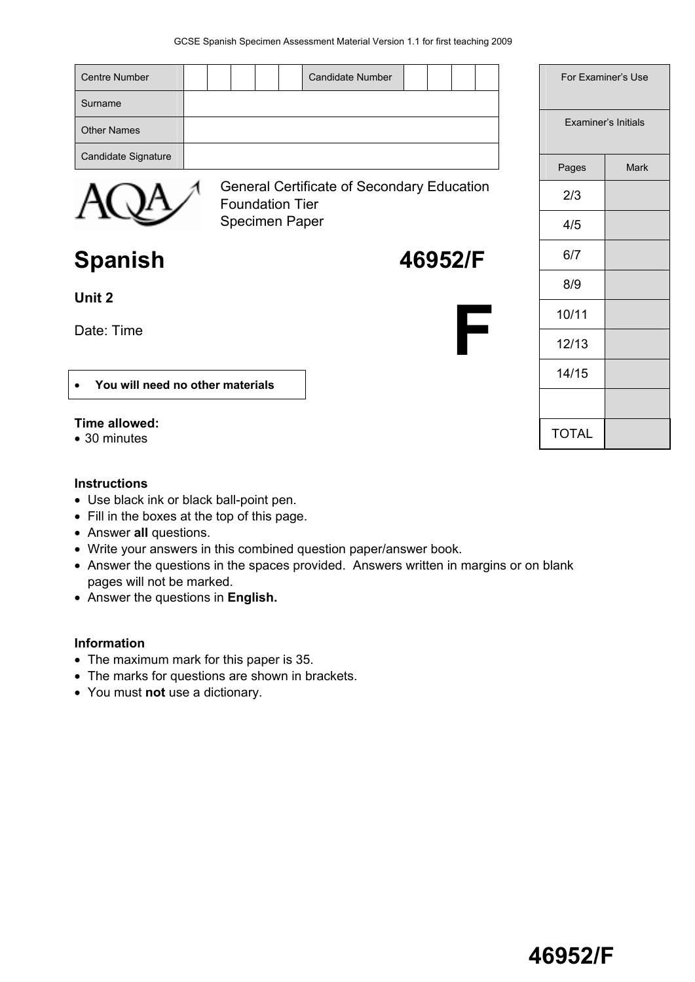| <b>Centre Number</b><br><b>Candidate Number</b>                      | For Examiner's Use  |             |
|----------------------------------------------------------------------|---------------------|-------------|
| Surname                                                              |                     |             |
| <b>Other Names</b>                                                   | Examiner's Initials |             |
| Candidate Signature                                                  | Pages               | <b>Mark</b> |
| General Certificate of Secondary Education<br><b>Foundation Tier</b> | 2/3                 |             |
| <b>Specimen Paper</b>                                                | 4/5                 |             |
| <b>Spanish</b><br>46952/F                                            | 6/7                 |             |
| Unit 2                                                               | 8/9                 |             |
|                                                                      | 10/11               |             |
| Date: Time                                                           | 12/13               |             |
| You will need no other materials                                     | 14/15               |             |
|                                                                      |                     |             |
| Time allowed:<br>• 30 minutes                                        | <b>TOTAL</b>        |             |

#### **Instructions**

- Use black ink or black ball-point pen.
- Fill in the boxes at the top of this page.
- Answer **all** questions.
- Write your answers in this combined question paper/answer book.
- Answer the questions in the spaces provided. Answers written in margins or on blank pages will not be marked.
- Answer the questions in **English.**

# **Information**

- The maximum mark for this paper is 35.
- The marks for questions are shown in brackets.
- You must **not** use a dictionary.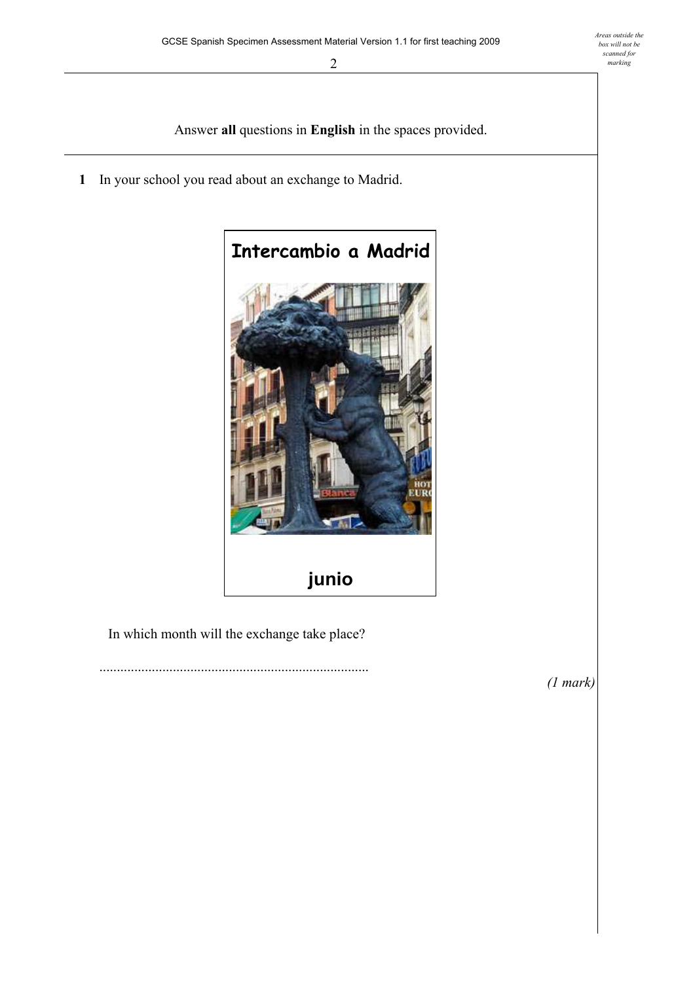Answer **all** questions in **English** in the spaces provided.

**1** In your school you read about an exchange to Madrid.



In which month will the exchange take place?

.............................................................................

*(1 mark)*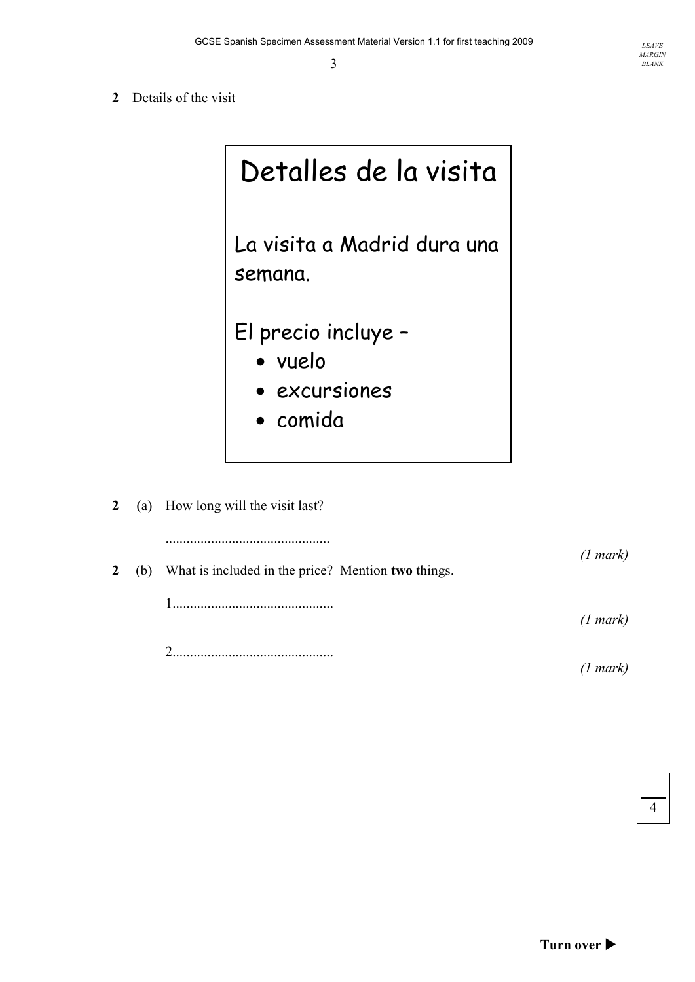**2** Details of the visit

|                |     | Detalles de la visita                              |          |
|----------------|-----|----------------------------------------------------|----------|
|                |     | La visita a Madrid dura una<br>semana.             |          |
|                |     | El precio incluye -                                |          |
|                |     | • vuelo                                            |          |
|                |     | · excursiones                                      |          |
|                |     | · comida                                           |          |
|                |     |                                                    |          |
| $\overline{2}$ | (a) | How long will the visit last?                      |          |
|                |     |                                                    | (1 mark) |
| $\overline{2}$ | (b) | What is included in the price? Mention two things. |          |
|                |     |                                                    | (1 mark) |
|                |     | 2                                                  | (1 mark) |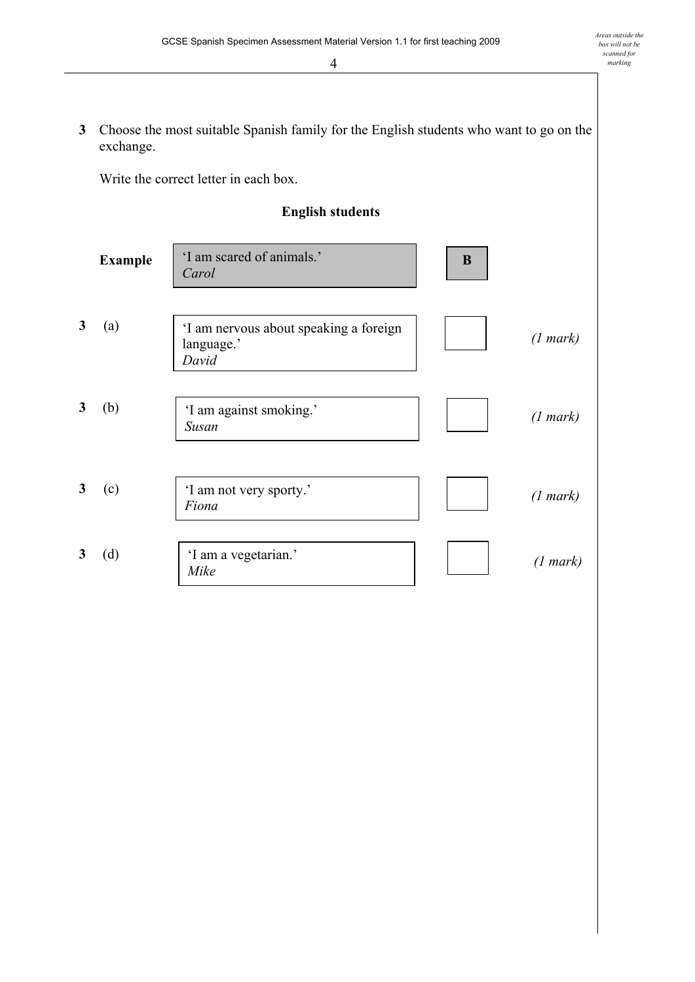**3** Choose the most suitable Spanish family for the English students who want to go on the exchange.

Write the correct letter in each box.

## **English students**

|   | <b>Example</b> | 'I am scared of animals.'<br>Carol                            | B |          |
|---|----------------|---------------------------------------------------------------|---|----------|
| 3 | (a)            | 'I am nervous about speaking a foreign<br>language.'<br>David |   | (1 mark) |
| 3 | (b)            | 'I am against smoking.'<br>Susan                              |   | (1 mark) |
| 3 | (c)            | 'I am not very sporty.'<br>Fiona                              |   | (1 mark) |
| 3 | (d)            | 'I am a vegetarian.'<br>Mike                                  |   | (1 mark) |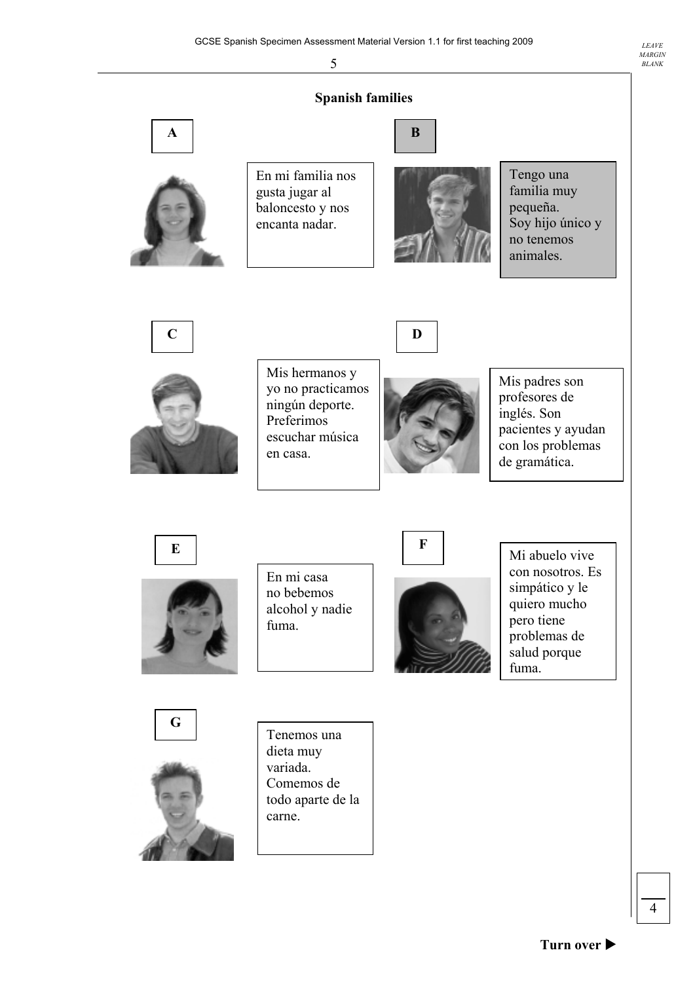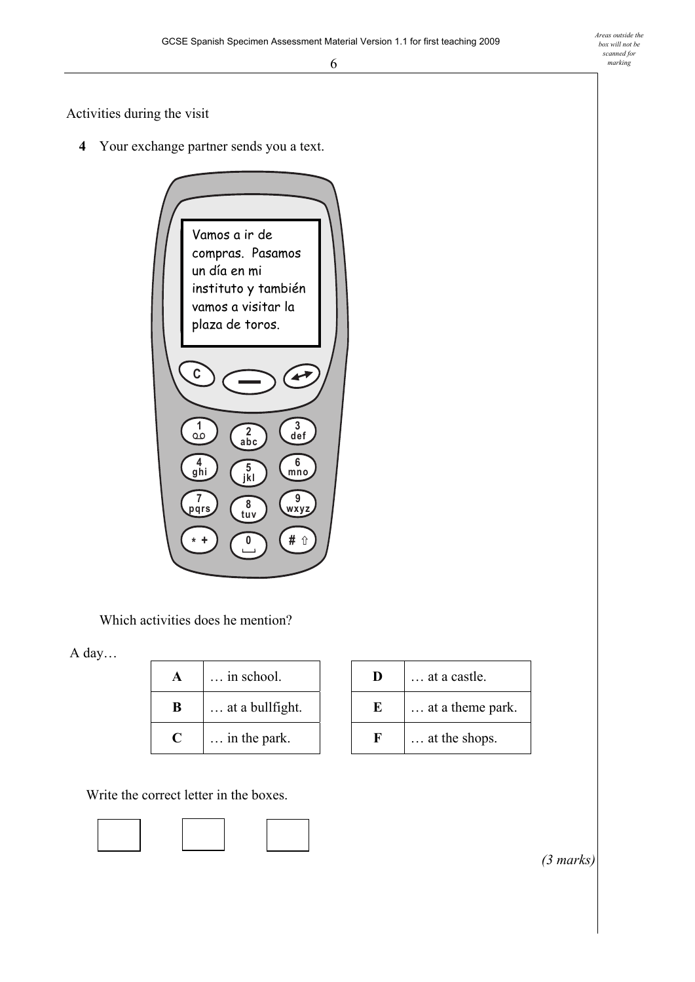Activities during the visit

**4** Your exchange partner sends you a text.



Which activities does he mention?

A day...

| A           | $\ldots$ in school.      | D    | at a castle.              |
|-------------|--------------------------|------|---------------------------|
| B           | $\ldots$ at a bullfight. | E    | $\ldots$ at a theme para- |
| $\mathbf C$ | $\ldots$ in the park.    | . Н. | $\ldots$ at the shops.    |

Write the correct letter in the boxes.



| A | $\ldots$ in school.      | Ð | at a castle.     |
|---|--------------------------|---|------------------|
| B | $\ldots$ at a bullfight. | Ю | at a theme park. |
| C | $\ldots$ in the park.    | к | at the shops.    |

 *(3 marks)*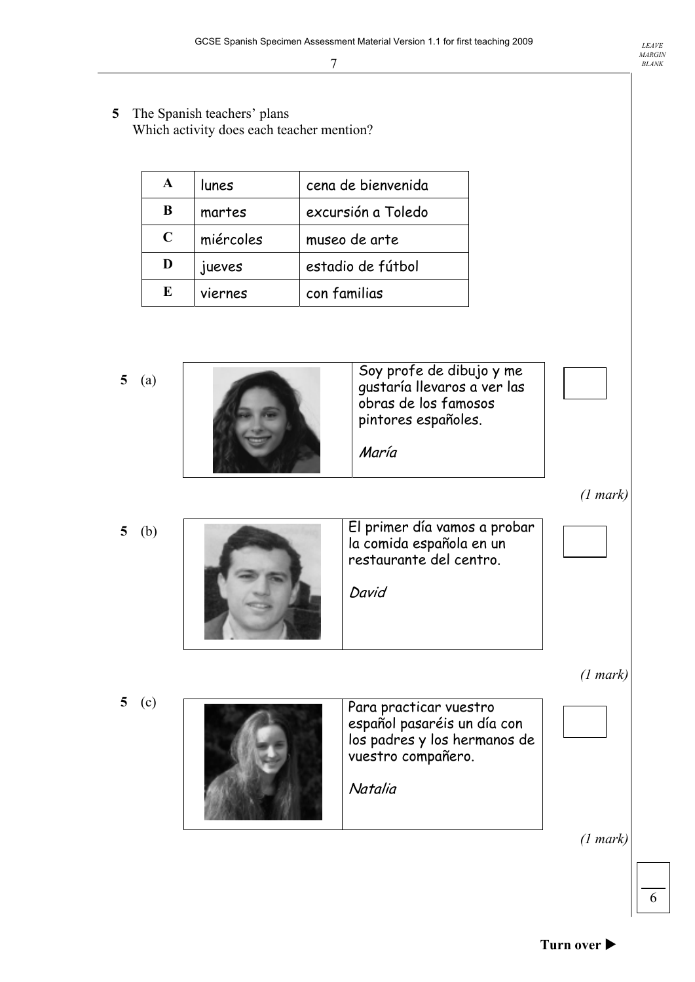**5** The Spanish teachers' plans Which activity does each teacher mention?

| A           | lunes     | cena de bienvenida |
|-------------|-----------|--------------------|
| B           | martes    | excursión a Toledo |
| $\mathbf C$ | miércoles | museo de arte      |
| D           | jueves    | estadio de fútbol  |
| E           | viernes   | con familias       |

**5** (a)



*(1 mark)* 

El primer día vamos a probar la comida española en un restaurante del centro. David **5** (b)

*(1 mark)* 

Para practicar vuestro español pasaréis un día con los padres y los hermanos de vuestro compañero. **Natalia 5** (c)

*(1 mark)* 

6

*LEAVE MARGIN BLANK*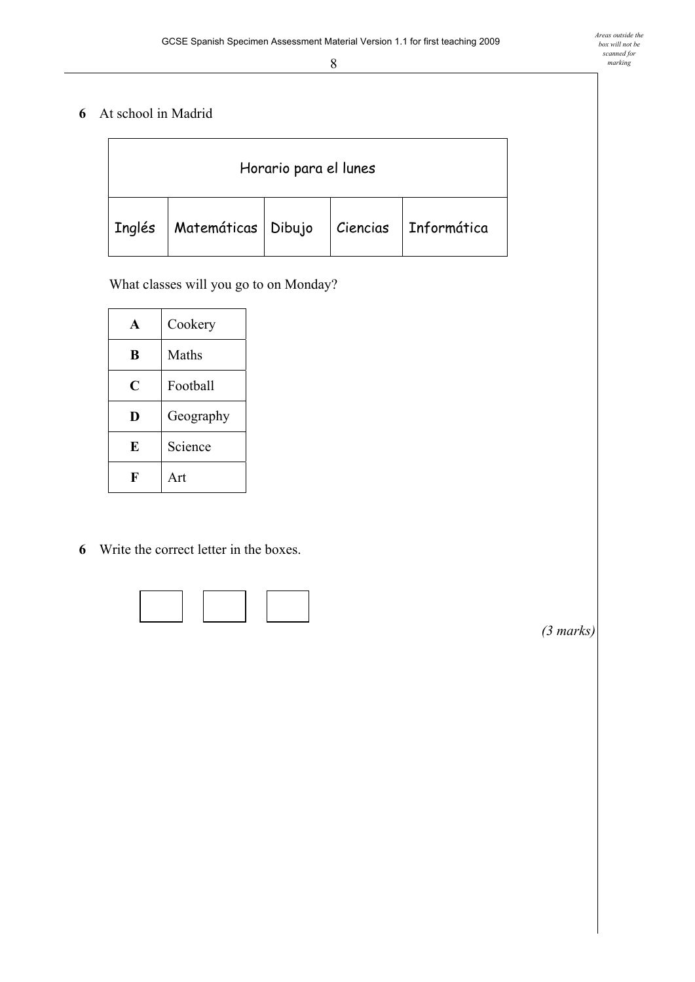### **6** At school in Madrid

| Horario para el lunes |                      |  |  |                        |
|-----------------------|----------------------|--|--|------------------------|
| $ $ Inglés            | Matemáticas   Dibujo |  |  | Ciencias   Informática |

What classes will you go to on Monday?

| A | Cookery   |
|---|-----------|
| B | Maths     |
| C | Football  |
| D | Geography |
| E | Science   |
|   | Art       |

**6** Write the correct letter in the boxes.



 *(3 marks)*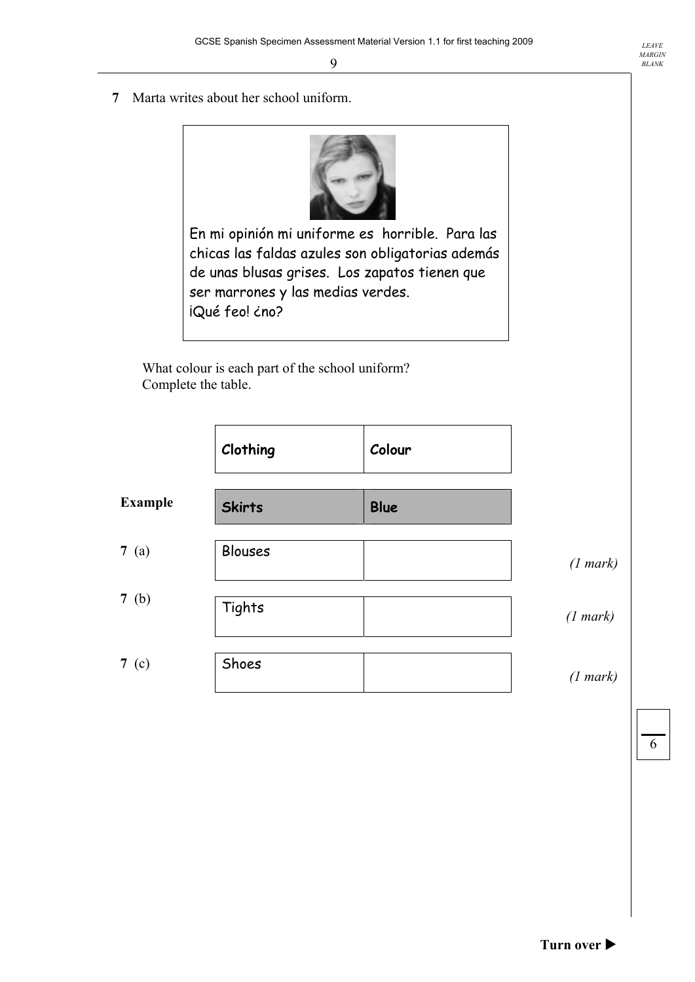**7** Marta writes about her school uniform.



En mi opinión mi uniforme es horrible. Para las chicas las faldas azules son obligatorias además de unas blusas grises. Los zapatos tienen que ser marrones y las medias verdes. iQué feo! ¿no?

What colour is each part of the school uniform? Complete the table.

|                | Clothing      | Colour      |          |
|----------------|---------------|-------------|----------|
| <b>Example</b> | <b>Skirts</b> | <b>Blue</b> |          |
| 7(a)           | Blouses       |             | (1 mark) |
| 7(b)           | Tights        |             | (1 mark) |
| 7 (c)          | Shoes         |             | (1 mark) |

6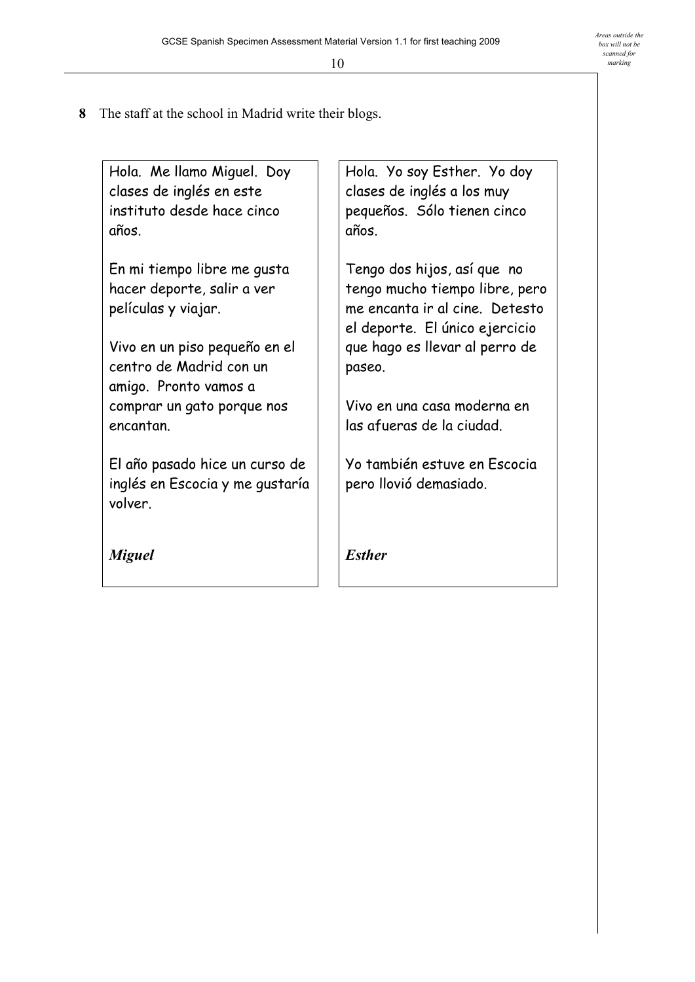**8** The staff at the school in Madrid write their blogs.

Hola. Me llamo Miguel. Doy clases de inglés en este instituto desde hace cinco años.

En mi tiempo libre me gusta hacer deporte, salir a ver películas y viajar.

Vivo en un piso pequeño en el centro de Madrid con un amigo. Pronto vamos a comprar un gato porque nos encantan.

El año pasado hice un curso de inglés en Escocia y me gustaría volver.

*Miguel* 

Hola. Yo soy Esther. Yo doy clases de inglés a los muy pequeños. Sólo tienen cinco años.

Tengo dos hijos, así que no tengo mucho tiempo libre, pero me encanta ir al cine. Detesto el deporte. El único ejercicio que hago es llevar al perro de paseo.

Vivo en una casa moderna en las afueras de la ciudad.

Yo también estuve en Escocia pero llovió demasiado.

*Esther*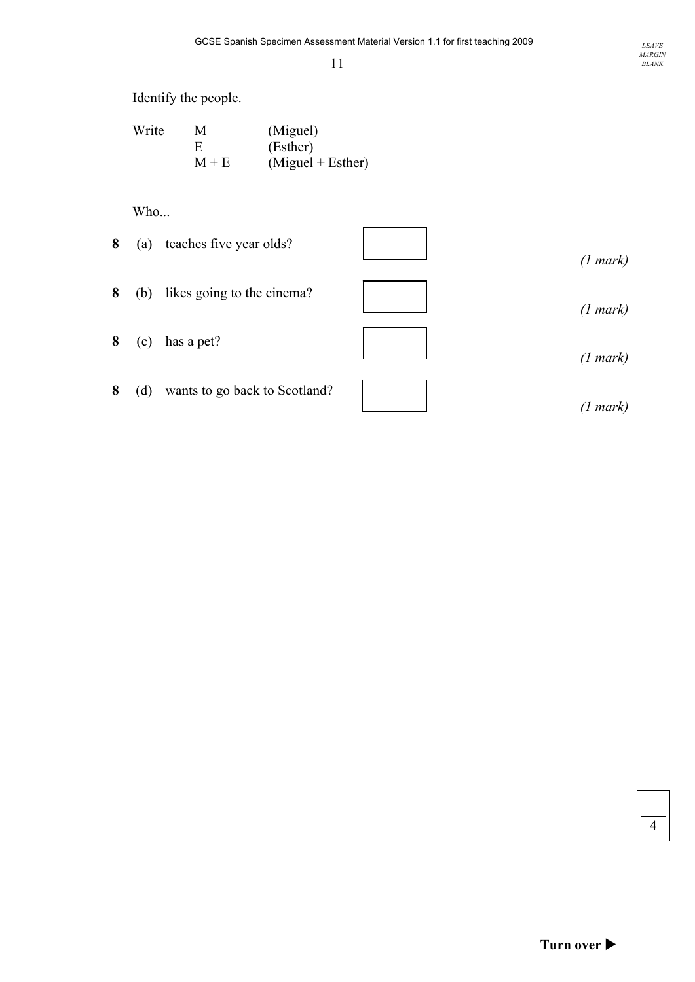|   |       | Identify the people.          |                                             |                    |
|---|-------|-------------------------------|---------------------------------------------|--------------------|
|   | Write | M<br>E<br>$M + E$             | (Miguel)<br>(Esther)<br>$(Miguel + Esther)$ |                    |
|   | Who   |                               |                                             |                    |
| 8 | (a)   | teaches five year olds?       |                                             | (1 mark)           |
| 8 | (b)   | likes going to the cinema?    |                                             | (1 mark)           |
| 8 | (c)   | has a pet?                    |                                             | (1 mark)           |
| 8 | (d)   | wants to go back to Scotland? |                                             | $(1 \text{ mark})$ |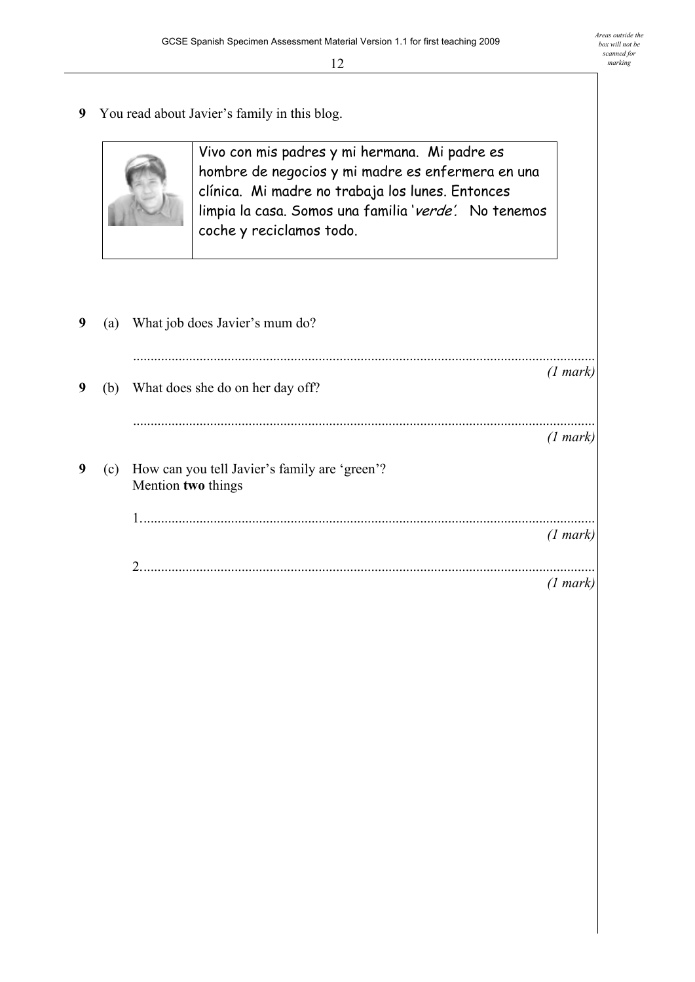**9** You read about Javier's family in this blog.



Vivo con mis padres y mi hermana. Mi padre es hombre de negocios y mi madre es enfermera en una clínica. Mi madre no trabaja los lunes. Entonces limpia la casa. Somos una familia 'verde'. No tenemos coche y reciclamos todo.

| 9 | (a) | What job does Javier's mum do?                                      |          |
|---|-----|---------------------------------------------------------------------|----------|
| 9 | (b) | What does she do on her day off?                                    | (1 mark) |
|   |     |                                                                     | (1 mark) |
| 9 | (c) | How can you tell Javier's family are 'green'?<br>Mention two things |          |
|   |     |                                                                     | (1 mark) |
|   |     |                                                                     | (1 mark) |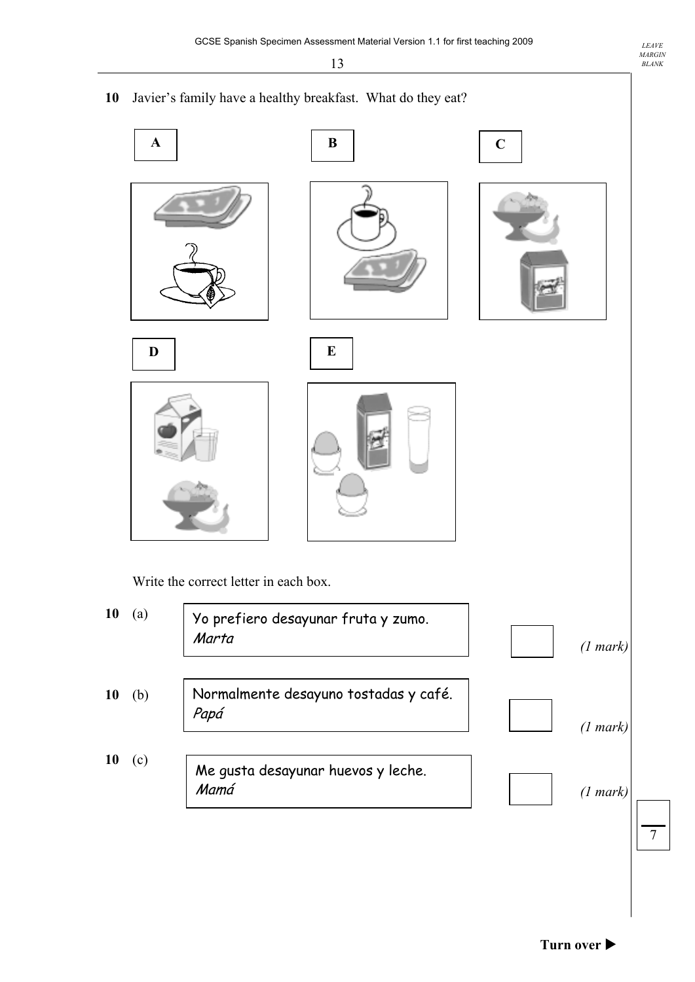10 Javier's family have a healthy breakfast. What do they eat?



Write the correct letter in each box.

| 10 | (a) | Yo prefiero desayunar fruta y zumo.<br>Marta  | (1 mark) |  |
|----|-----|-----------------------------------------------|----------|--|
| 10 | (b) | Normalmente desayuno tostadas y café.<br>Papá | (1 mark) |  |
| 10 | (c) | Me gusta desayunar huevos y leche.<br>Mamá    | (1 mark) |  |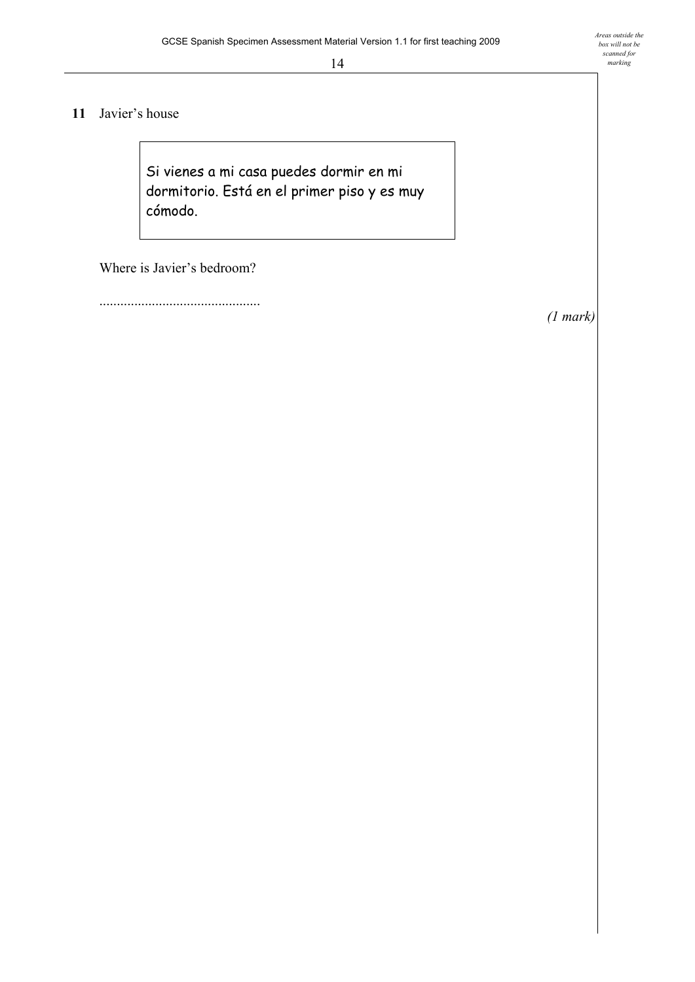#### 11 Javier's house

Si vienes a mi casa puedes dormir en mi dormitorio. Está en el primer piso y es muy cómodo.

Where is Javier's bedroom?

..............................................

*(1 mark)*